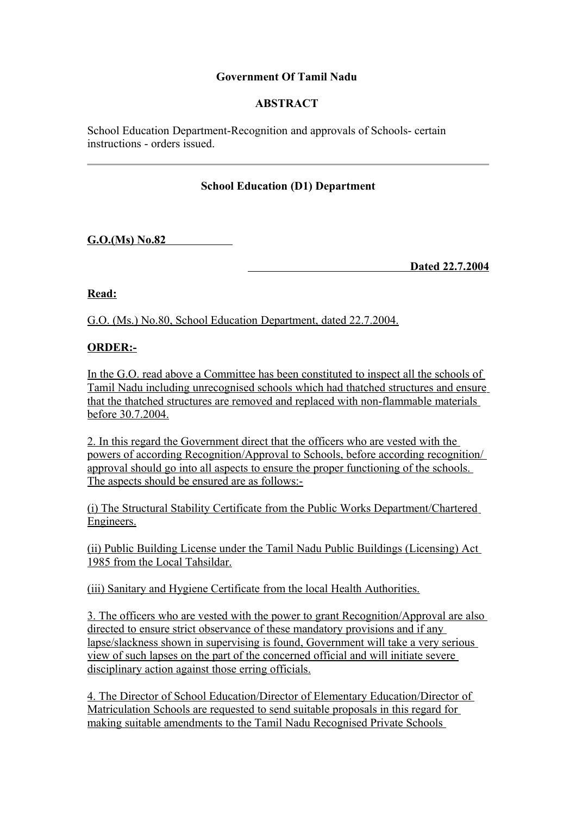# **Government Of Tamil Nadu**

# **ABSTRACT**

School Education Department-Recognition and approvals of Schools- certain instructions - orders issued.

# **School Education (D1) Department**

 **G.O.(Ms) No.82**

 **Dated 22.7.2004**

**Read:**

G.O. (Ms.) No.80, School Education Department, dated 22.7.2004.

### **ORDER:-**

In the G.O. read above a Committee has been constituted to inspect all the schools of Tamil Nadu including unrecognised schools which had thatched structures and ensure that the thatched structures are removed and replaced with non-flammable materials before 30.7.2004.

2. In this regard the Government direct that the officers who are vested with the powers of according Recognition/Approval to Schools, before according recognition/ approval should go into all aspects to ensure the proper functioning of the schools. The aspects should be ensured are as follows:-

(i) The Structural Stability Certificate from the Public Works Department/Chartered Engineers.

(ii) Public Building License under the Tamil Nadu Public Buildings (Licensing) Act 1985 from the Local Tahsildar.

(iii) Sanitary and Hygiene Certificate from the local Health Authorities.

3. The officers who are vested with the power to grant Recognition/Approval are also directed to ensure strict observance of these mandatory provisions and if any lapse/slackness shown in supervising is found, Government will take a very serious view of such lapses on the part of the concerned official and will initiate severe disciplinary action against those erring officials.

4. The Director of School Education/Director of Elementary Education/Director of Matriculation Schools are requested to send suitable proposals in this regard for making suitable amendments to the Tamil Nadu Recognised Private Schools